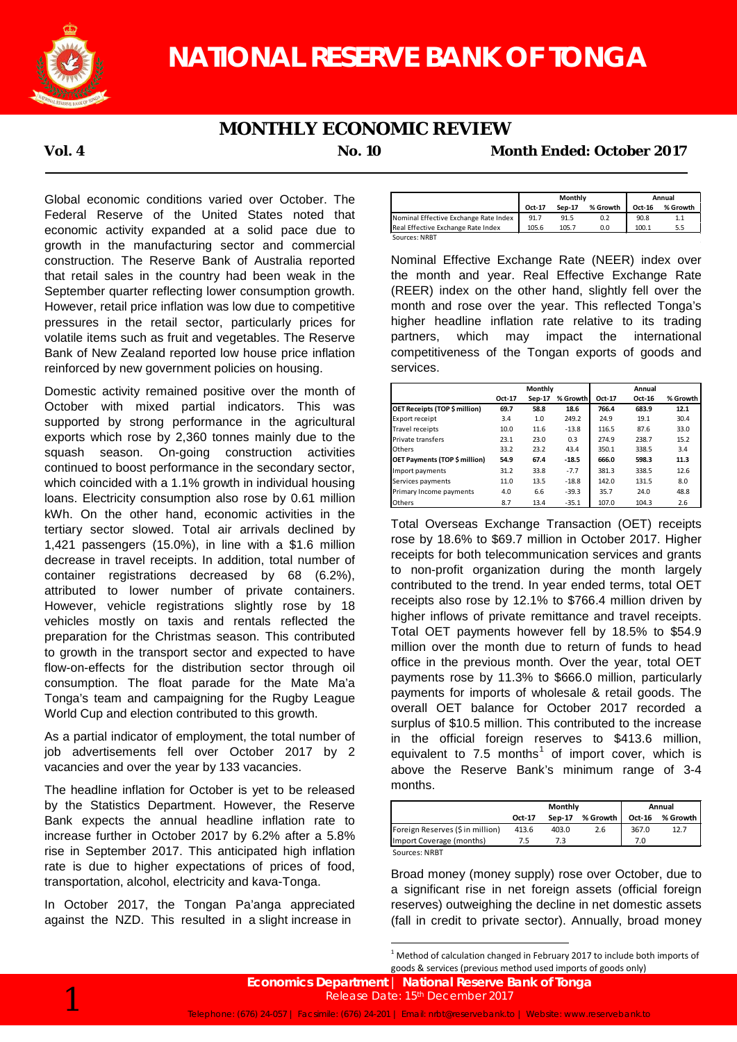

## **MONTHLY ECONOMIC REVIEW**

**Vol. 4 No. 10 Month Ended: October 2017**

Global economic conditions varied over October. The Federal Reserve of the United States noted that economic activity expanded at a solid pace due to growth in the manufacturing sector and commercial construction. The Reserve Bank of Australia reported that retail sales in the country had been weak in the September quarter reflecting lower consumption growth. However, retail price inflation was low due to competitive pressures in the retail sector, particularly prices for volatile items such as fruit and vegetables. The Reserve Bank of New Zealand reported low house price inflation reinforced by new government policies on housing.

Domestic activity remained positive over the month of October with mixed partial indicators. This was supported by strong performance in the agricultural exports which rose by 2,360 tonnes mainly due to the squash season. On-going construction activities continued to boost performance in the secondary sector, which coincided with a 1.1% growth in individual housing loans. Electricity consumption also rose by 0.61 million kWh. On the other hand, economic activities in the tertiary sector slowed. Total air arrivals declined by 1,421 passengers (15.0%), in line with a \$1.6 million decrease in travel receipts. In addition, total number of container registrations decreased by 68 (6.2%), attributed to lower number of private containers. However, vehicle registrations slightly rose by 18 vehicles mostly on taxis and rentals reflected the preparation for the Christmas season. This contributed to growth in the transport sector and expected to have flow-on-effects for the distribution sector through oil consumption. The float parade for the Mate Ma'a Tonga's team and campaigning for the Rugby League World Cup and election contributed to this growth.

As a partial indicator of employment, the total number of job advertisements fell over October 2017 by 2 vacancies and over the year by 133 vacancies.

The headline inflation for October is yet to be released by the Statistics Department. However, the Reserve Bank expects the annual headline inflation rate to increase further in October 2017 by 6.2% after a 5.8% rise in September 2017. This anticipated high inflation rate is due to higher expectations of prices of food, transportation, alcohol, electricity and kava-Tonga.

In October 2017, the Tongan Pa'anga appreciated against the NZD. This resulted in a slight increase in

|                                       | Monthly |        |          | Annual |          |
|---------------------------------------|---------|--------|----------|--------|----------|
|                                       | Oct-17  | Sep-17 | % Growth | Oct-16 | % Growth |
| Nominal Effective Exchange Rate Index | 91.7    | 91.5   | 0.2      | 90.8   | 1.1      |
| Real Effective Exchange Rate Index    | 105.6   | 105.7  | 0.0      | 100.1  | 5.5      |

Nominal Effective Exchange Rate (NEER) index over the month and year. Real Effective Exchange Rate (REER) index on the other hand, slightly fell over the month and rose over the year. This reflected Tonga's higher headline inflation rate relative to its trading partners, which may impact the international competitiveness of the Tongan exports of goods and services.

|                               | Monthly |        |          | Annual |        |          |  |
|-------------------------------|---------|--------|----------|--------|--------|----------|--|
|                               | Oct-17  | Sep-17 | % Growth | Oct-17 | Oct-16 | % Growth |  |
| OET Receipts (TOP \$ million) | 69.7    | 58.8   | 18.6     | 766.4  | 683.9  | 12.1     |  |
| <b>Export receipt</b>         | 3.4     | 1.0    | 249.2    | 24.9   | 19.1   | 30.4     |  |
| <b>Travel receipts</b>        | 10.0    | 11.6   | $-13.8$  | 116.5  | 87.6   | 33.0     |  |
| <b>Private transfers</b>      | 23.1    | 23.0   | 0.3      | 274.9  | 238.7  | 15.2     |  |
| Others                        | 33.2    | 23.2   | 43.4     | 350.1  | 338.5  | 3.4      |  |
| OET Payments (TOP \$ million) | 54.9    | 67.4   | $-18.5$  | 666.0  | 598.3  | 11.3     |  |
| Import payments               | 31.2    | 33.8   | $-7.7$   | 381.3  | 338.5  | 12.6     |  |
| Services payments             | 11.0    | 13.5   | $-18.8$  | 142.0  | 131.5  | 8.0      |  |
| Primary Income payments       | 4.0     | 6.6    | $-39.3$  | 35.7   | 24.0   | 48.8     |  |
| <b>Others</b>                 | 8.7     | 13.4   | $-35.1$  | 107.0  | 104.3  | 2.6      |  |

Total Overseas Exchange Transaction (OET) receipts rose by 18.6% to \$69.7 million in October 2017. Higher receipts for both telecommunication services and grants to non-profit organization during the month largely contributed to the trend. In year ended terms, total OET receipts also rose by 12.1% to \$766.4 million driven by higher inflows of private remittance and travel receipts. Total OET payments however fell by 18.5% to \$54.9 million over the month due to return of funds to head office in the previous month. Over the year, total OET payments rose by 11.3% to \$666.0 million, particularly payments for imports of wholesale & retail goods. The overall OET balance for October 2017 recorded a surplus of \$10.5 million. This contributed to the increase in the official foreign reserves to \$413.6 million, equivalent to 7.5 months<sup>1</sup> of import cover, which is above the Reserve Bank's minimum range of 3-4 months.

|                                  |        | Monthly | Annual   |        |          |
|----------------------------------|--------|---------|----------|--------|----------|
|                                  | Oct-17 | Sep-17  | % Growth | Oct-16 | % Growth |
| Foreign Reserves (\$ in million) | 413.6  | 403.0   | 2.6      | 367.0  | 12.7     |
| Import Coverage (months)         | 7.5    | 73      |          | 7.0    |          |
| Sources: NRBT                    |        |         |          |        |          |

Broad money (money supply) rose over October, due to a significant rise in net foreign assets (official foreign reserves) outweighing the decline in net domestic assets (fall in credit to private sector). Annually, broad money



 $1$  Method of calculation changed in February 2017 to include both imports of goods & services (previous method used imports of goods only)